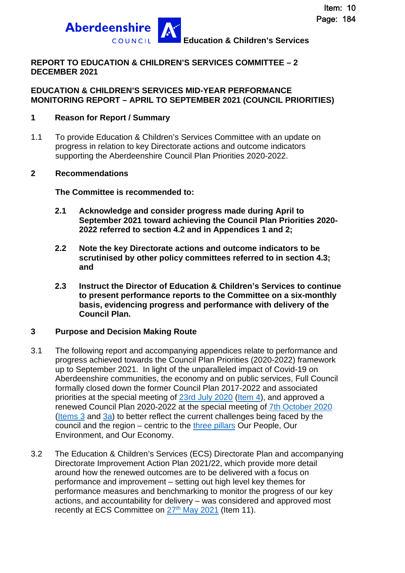

#### **REPORT TO EDUCATION & CHILDREN'S SERVICES COMMITTEE – 2 DECEMBER 2021**

#### **EDUCATION & CHILDREN'S SERVICES MID-YEAR PERFORMANCE MONITORING REPORT – APRIL TO SEPTEMBER 2021 (COUNCIL PRIORITIES)**

#### **1 Reason for Report / Summary**

1.1 To provide Education & Children's Services Committee with an update on progress in relation to key Directorate actions and outcome indicators supporting the Aberdeenshire Council Plan Priorities 2020-2022.

#### **2 Recommendations**

**The Committee is recommended to:** 

- **2.1 Acknowledge and consider progress made during April to September 2021 toward achieving the Council Plan Priorities 2020- 2022 referred to section 4.2 and in Appendices 1 and 2;**
- **2.2 Note the key Directorate actions and outcome indicators to be scrutinised by other policy committees referred to in section 4.3; and**
- **2.3 Instruct the Director of Education & Children's Services to continue to present performance reports to the Committee on a six-monthly basis, evidencing progress and performance with delivery of the Council Plan.**

#### **3 Purpose and Decision Making Route**

- 3.1 The following report and accompanying appendices relate to performance and progress achieved towards the Council Plan Priorities (2020-2022) framework up to September 2021. In light of the unparalleled impact of Covid-19 on Aberdeenshire communities, the economy and on public services, Full Council formally closed down the former Council Plan 2017-2022 and associated priorities at the special meeting of [23rd July 2020](https://committees.aberdeenshire.gov.uk/committees.aspx?commid=1&meetid=19749) ([Item 4](https://committees.aberdeenshire.gov.uk/FunctionsPage.aspx?dsid=104709&action=GetFileFromDB)), and approved a renewed Council Plan 2020-2022 at the special meeting of [7th October 2020](https://committees.aberdeenshire.gov.uk/committees.aspx?commid=1&meetid=19805) [\(Items 3](https://committees.aberdeenshire.gov.uk/FunctionsPage.aspx?dsid=105413&action=GetFileFromDB) and [3a\)](https://committees.aberdeenshire.gov.uk/FunctionsPage.aspx?dsid=105474&action=GetFileFromDB) to better reflect the current challenges being faced by the council and the region – centric to the [three pillars](https://www.aberdeenshire.gov.uk/council-and-democracy/council-plan/strategic-priorities/) Our People, Our Environment, and Our Economy.
- 3.2 The Education & Children's Services (ECS) Directorate Plan and accompanying Directorate Improvement Action Plan 2021/22, which provide more detail around how the renewed outcomes are to be delivered with a focus on performance and improvement – setting out high level key themes for performance measures and benchmarking to monitor the progress of our key actions, and accountability for delivery – was considered and approved most recently at ECS Committee on 27<sup>th</sup> [May 2021](https://committees.aberdeenshire.gov.uk/committees.aspx?commid=494&meetid=19866) (Item 11).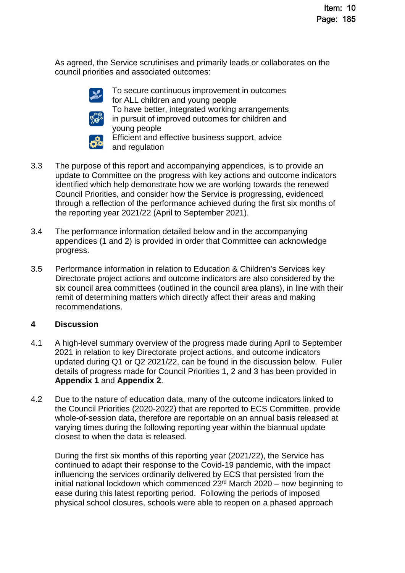As agreed, the Service scrutinises and primarily leads or collaborates on the council priorities and associated outcomes:



To secure continuous improvement in outcomes for ALL children and young people To have better, integrated working arrangements in pursuit of improved outcomes for children and



young people Efficient and effective business support, advice and regulation

- 3.3 The purpose of this report and accompanying appendices, is to provide an update to Committee on the progress with key actions and outcome indicators identified which help demonstrate how we are working towards the renewed Council Priorities, and consider how the Service is progressing, evidenced through a reflection of the performance achieved during the first six months of the reporting year 2021/22 (April to September 2021).
- 3.4 The performance information detailed below and in the accompanying appendices (1 and 2) is provided in order that Committee can acknowledge progress.
- 3.5 Performance information in relation to Education & Children's Services key Directorate project actions and outcome indicators are also considered by the six council area committees (outlined in the council area plans), in line with their remit of determining matters which directly affect their areas and making recommendations.

# **4 Discussion**

- 4.1 A high-level summary overview of the progress made during April to September 2021 in relation to key Directorate project actions, and outcome indicators updated during Q1 or Q2 2021/22, can be found in the discussion below. Fuller details of progress made for Council Priorities 1, 2 and 3 has been provided in **Appendix 1** and **Appendix 2**.
- 4.2 Due to the nature of education data, many of the outcome indicators linked to the Council Priorities (2020-2022) that are reported to ECS Committee, provide whole-of-session data, therefore are reportable on an annual basis released at varying times during the following reporting year within the biannual update closest to when the data is released.

During the first six months of this reporting year (2021/22), the Service has continued to adapt their response to the Covid-19 pandemic, with the impact influencing the services ordinarily delivered by ECS that persisted from the initial national lockdown which commenced  $23<sup>rd</sup>$  March  $2020$  – now beginning to ease during this latest reporting period. Following the periods of imposed physical school closures, schools were able to reopen on a phased approach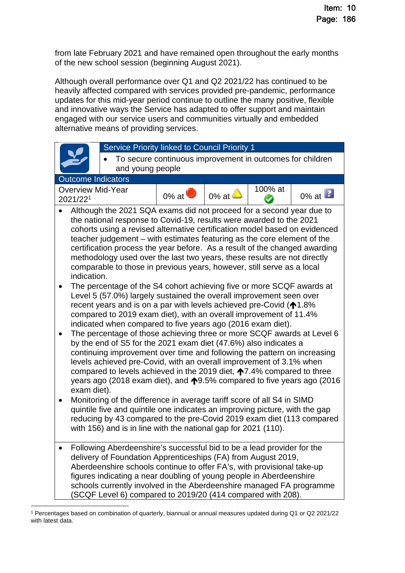from late February 2021 and have remained open throughout the early months of the new school session (beginning August 2021).

Although overall performance over Q1 and Q2 2021/22 has continued to be heavily affected compared with services provided pre-pandemic, performance updates for this mid-year period continue to outline the many positive, flexible and innovative ways the Service has adapted to offer support and maintain engaged with our service users and communities virtually and embedded alternative means of providing services.



<span id="page-2-0"></span><sup>1</sup> Percentages based on combination of quarterly, biannual or annual measures updated during Q1 or Q2 2021/22 with latest data.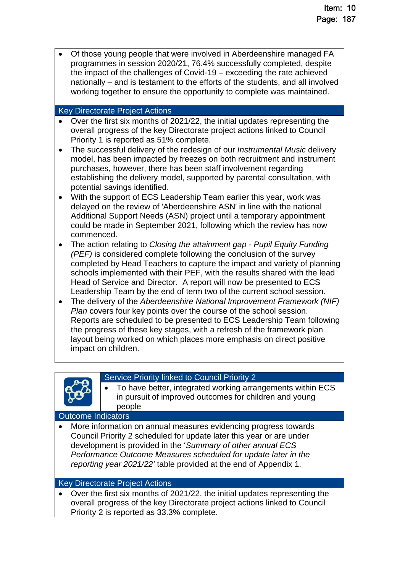Of those young people that were involved in Aberdeenshire managed FA programmes in session 2020/21, 76.4% successfully completed, despite the impact of the challenges of Covid-19 – exceeding the rate achieved nationally – and is testament to the efforts of the students, and all involved working together to ensure the opportunity to complete was maintained.

#### Key Directorate Project Actions

- Over the first six months of 2021/22, the initial updates representing the overall progress of the key Directorate project actions linked to Council Priority 1 is reported as 51% complete.
- The successful delivery of the redesign of our *Instrumental Music* delivery model, has been impacted by freezes on both recruitment and instrument purchases, however, there has been staff involvement regarding establishing the delivery model, supported by parental consultation, with potential savings identified.
- With the support of ECS Leadership Team earlier this year, work was delayed on the review of 'Aberdeenshire ASN' in line with the national Additional Support Needs (ASN) project until a temporary appointment could be made in September 2021, following which the review has now commenced.
- The action relating to *Closing the attainment gap Pupil Equity Funding (PEF)* is considered complete following the conclusion of the survey completed by Head Teachers to capture the impact and variety of planning schools implemented with their PEF, with the results shared with the lead Head of Service and Director. A report will now be presented to ECS Leadership Team by the end of term two of the current school session.
- The delivery of the *Aberdeenshire National Improvement Framework (NIF) Plan covers four key points over the course of the school session.* Reports are scheduled to be presented to ECS Leadership Team following the progress of these key stages, with a refresh of the framework plan layout being worked on which places more emphasis on direct positive impact on children.



#### Service Priority linked to Council Priority 2

 To have better, integrated working arrangements within ECS in pursuit of improved outcomes for children and young people

#### Outcome Indicators

 More information on annual measures evidencing progress towards Council Priority 2 scheduled for update later this year or are under development is provided in the '*Summary of other annual ECS Performance Outcome Measures scheduled for update later in the reporting year 2021/22'* table provided at the end of Appendix 1.

#### Key Directorate Project Actions

 Over the first six months of 2021/22, the initial updates representing the overall progress of the key Directorate project actions linked to Council Priority 2 is reported as 33.3% complete.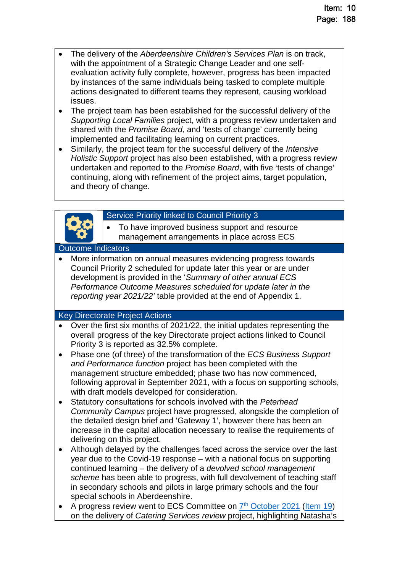- The delivery of the *Aberdeenshire Children's Services Plan* is on track, with the appointment of a Strategic Change Leader and one selfevaluation activity fully complete, however, progress has been impacted by instances of the same individuals being tasked to complete multiple actions designated to different teams they represent, causing workload issues.
- The project team has been established for the successful delivery of the *Supporting Local Families* project, with a progress review undertaken and shared with the *Promise Board*, and 'tests of change' currently being implemented and facilitating learning on current practices.
- Similarly, the project team for the successful delivery of the *Intensive Holistic Support* project has also been established, with a progress review undertaken and reported to the *Promise Board*, with five 'tests of change' continuing, along with refinement of the project aims, target population, and theory of change.



#### Service Priority linked to Council Priority 3

 To have improved business support and resource management arrangements in place across ECS

#### Outcome Indicators

 More information on annual measures evidencing progress towards Council Priority 2 scheduled for update later this year or are under development is provided in the '*Summary of other annual ECS Performance Outcome Measures scheduled for update later in the reporting year 2021/22'* table provided at the end of Appendix 1.

#### Key Directorate Project Actions

- Over the first six months of 2021/22, the initial updates representing the overall progress of the key Directorate project actions linked to Council Priority 3 is reported as 32.5% complete.
- Phase one (of three) of the transformation of the *ECS Business Support and Performance function* project has been completed with the management structure embedded; phase two has now commenced, following approval in September 2021, with a focus on supporting schools, with draft models developed for consideration.
- Statutory consultations for schools involved with the *Peterhead Community Campus* project have progressed, alongside the completion of the detailed design brief and 'Gateway 1', however there has been an increase in the capital allocation necessary to realise the requirements of delivering on this project.
- Although delayed by the challenges faced across the service over the last year due to the Covid-19 response – with a national focus on supporting continued learning – the delivery of a *devolved school management scheme* has been able to progress, with full devolvement of teaching staff in secondary schools and pilots in large primary schools and the four special schools in Aberdeenshire.
- A progress review went to ECS Committee on  $\frac{7^{\text{th}} \text{ October 2021}}{11^{\text{th}}}$  $\frac{7^{\text{th}} \text{ October 2021}}{11^{\text{th}}}$  $\frac{7^{\text{th}} \text{ October 2021}}{11^{\text{th}}}$ on the delivery of *Catering Services review* project, highlighting Natasha's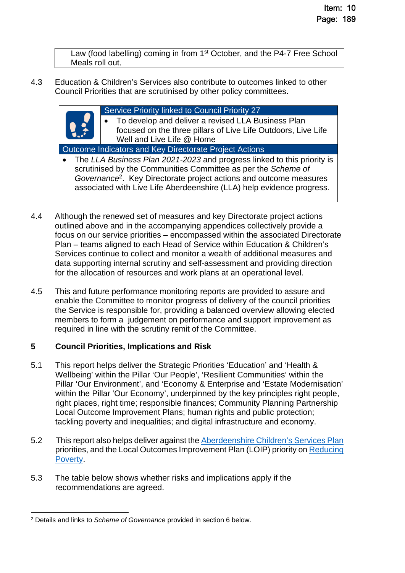Law (food labelling) coming in from 1<sup>st</sup> October, and the P4-7 Free School Meals roll out.

4.3 Education & Children's Services also contribute to outcomes linked to other Council Priorities that are scrutinised by other policy committees.

> Service Priority linked to Council Priority 27 To develop and deliver a revised LLA Business Plan focused on the three pillars of Live Life Outdoors, Live Life Well and Live Life @ Home

Outcome Indicators and Key Directorate Project Actions

- The *LLA Business Plan 2021-2023* and progress linked to this priority is scrutinised by the Communities Committee as per the *Scheme of Governance*[2](#page-5-0) . Key Directorate project actions and outcome measures associated with Live Life Aberdeenshire (LLA) help evidence progress.
- 4.4 Although the renewed set of measures and key Directorate project actions outlined above and in the accompanying appendices collectively provide a focus on our service priorities – encompassed within the associated Directorate Plan – teams aligned to each Head of Service within Education & Children's Services continue to collect and monitor a wealth of additional measures and data supporting internal scrutiny and self-assessment and providing direction for the allocation of resources and work plans at an operational level.
- 4.5 This and future performance monitoring reports are provided to assure and enable the Committee to monitor progress of delivery of the council priorities the Service is responsible for, providing a balanced overview allowing elected members to form a judgement on performance and support improvement as required in line with the scrutiny remit of the Committee.

# **5 Council Priorities, Implications and Risk**

- 5.1 This report helps deliver the Strategic Priorities 'Education' and 'Health & Wellbeing' within the Pillar 'Our People', 'Resilient Communities' within the Pillar 'Our Environment', and 'Economy & Enterprise and 'Estate Modernisation' within the Pillar 'Our Economy', underpinned by the key principles right people, right places, right time; responsible finances; Community Planning Partnership Local Outcome Improvement Plans; human rights and public protection; tackling poverty and inequalities; and digital infrastructure and economy.
- 5.2 This report also helps deliver against the [Aberdeenshire Children's Services Plan](https://www.girfec-aberdeenshire.org/who-we-are/our-childrens-services-plan/) priorities, and the Local Outcomes Improvement Plan (LOIP) priority on [Reducing](https://www.ouraberdeenshire.org.uk/our-priorities/reducing-child-poverty/)  [Poverty.](https://www.ouraberdeenshire.org.uk/our-priorities/reducing-child-poverty/)
- 5.3 The table below shows whether risks and implications apply if the recommendations are agreed.

<span id="page-5-0"></span><sup>2</sup> Details and links to *Scheme of Governance* provided in section 6 below.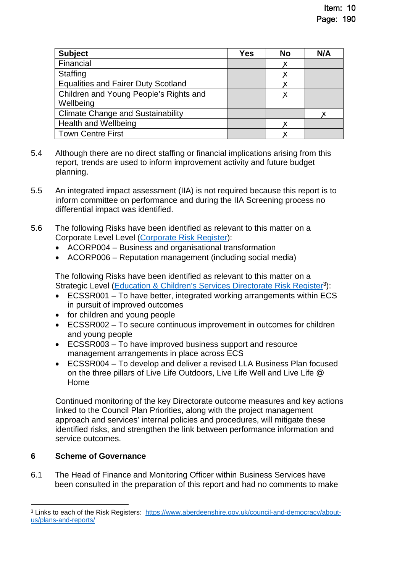| <b>Subject</b>                             | Yes | <b>No</b> | N/A |
|--------------------------------------------|-----|-----------|-----|
| Financial                                  |     |           |     |
| Staffing                                   |     |           |     |
| <b>Equalities and Fairer Duty Scotland</b> |     |           |     |
| Children and Young People's Rights and     |     | X         |     |
| Wellbeing                                  |     |           |     |
| <b>Climate Change and Sustainability</b>   |     |           |     |
| <b>Health and Wellbeing</b>                |     |           |     |
| <b>Town Centre First</b>                   |     |           |     |

- 5.4 Although there are no direct staffing or financial implications arising from this report, trends are used to inform improvement activity and future budget planning.
- 5.5 An integrated impact assessment (IIA) is not required because this report is to inform committee on performance and during the IIA Screening process no differential impact was identified.
- 5.6 The following Risks have been identified as relevant to this matter on a Corporate Level Level [\(Corporate Risk Register](https://www.aberdeenshire.gov.uk/media/26308/corporaterisks.pdf)):
	- ACORP004 Business and organisational transformation
	- ACORP006 Reputation management (including social media)

The following Risks have been identified as relevant to this matter on a Strategic Level [\(Education & Children's Services Directorate Risk Register](https://www.aberdeenshire.gov.uk/media/26330/ecsdirectoraterisksregister.pdf)<sup>[3](#page-6-0)</sup>):

- ECSSR001 To have better, integrated working arrangements within ECS in pursuit of improved outcomes
- for children and young people
- ECSSR002 To secure continuous improvement in outcomes for children and young people
- ECSSR003 To have improved business support and resource management arrangements in place across ECS
- ECSSR004 To develop and deliver a revised LLA Business Plan focused on the three pillars of Live Life Outdoors, Live Life Well and Live Life @ Home

Continued monitoring of the key Directorate outcome measures and key actions linked to the Council Plan Priorities, along with the project management approach and services' internal policies and procedures, will mitigate these identified risks, and strengthen the link between performance information and service outcomes.

# **6 Scheme of Governance**

6.1 The Head of Finance and Monitoring Officer within Business Services have been consulted in the preparation of this report and had no comments to make

<span id="page-6-0"></span><sup>&</sup>lt;sup>3</sup> Links to each of the Risk Registers: https://www.aberdeenshire.gov.uk/council-and-democracy/aboutus/plans-and-reports/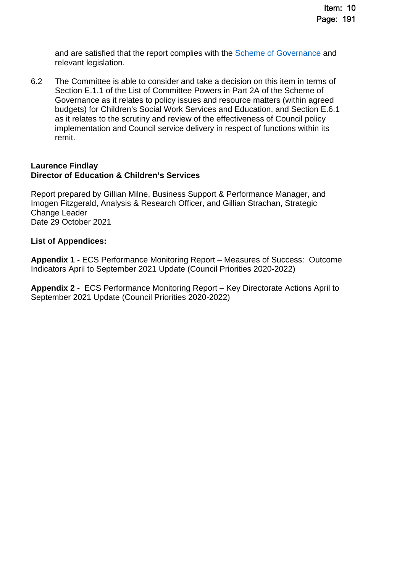and are satisfied that the report complies with the **Scheme of Governance** and relevant legislation.

6.2 The Committee is able to consider and take a decision on this item in terms of Section E.1.1 of the List of Committee Powers in Part 2A of the Scheme of Governance as it relates to policy issues and resource matters (within agreed budgets) for Children's Social Work Services and Education, and Section E.6.1 as it relates to the scrutiny and review of the effectiveness of Council policy implementation and Council service delivery in respect of functions within its remit.

#### **Laurence Findlay Director of Education & Children's Services**

Report prepared by Gillian Milne, Business Support & Performance Manager, and Imogen Fitzgerald, Analysis & Research Officer, and Gillian Strachan, Strategic Change Leader Date 29 October 2021

#### **List of Appendices:**

**Appendix 1 -** ECS Performance Monitoring Report – Measures of Success: Outcome Indicators April to September 2021 Update (Council Priorities 2020-2022)

**Appendix 2 -** ECS Performance Monitoring Report – Key Directorate Actions April to September 2021 Update (Council Priorities 2020-2022)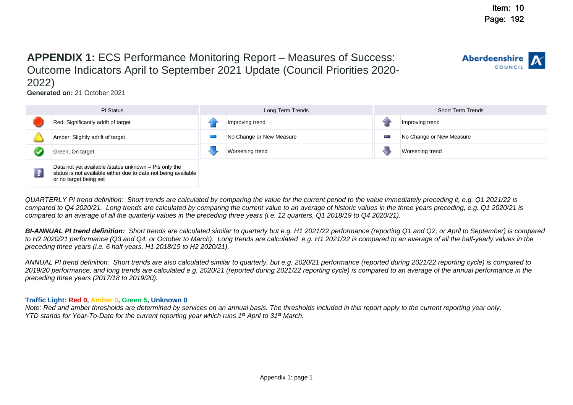COUNC

**Aberdeenshire** 

# **APPENDIX 1:** ECS Performance Monitoring Report – Measures of Success: Outcome Indicators April to September 2021 Update (Council Priorities 2020-

2022)

**Generated on:** 21 October 2021



*QUARTERLY PI trend definition: Short trends are calculated by comparing the value for the current period to the value immediately preceding it, e.g. Q1 2021/22 is compared to Q4 2020/21. Long trends are calculated by comparing the current value to an average of historic values in the three years preceding, e.g. Q1 2020/21 is compared to an average of all the quarterly values in the preceding three years (i.e. 12 quarters, Q1 2018/19 to Q4 2020/21).*

*BI-ANNUAL PI trend definition: Short trends are calculated similar to quarterly but e.g. H1 2021/22 performance (reporting Q1 and Q2, or April to September) is compared*  to H2 2020/21 performance (Q3 and Q4, or October to March). Long trends are calculated e.g. H1 2021/22 is compared to an average of all the half-yearly values in the *preceding three years (i.e. 6 half-years, H1 2018/19 to H2 2020/21).*

*ANNUAL PI trend definition: Short trends are also calculated similar to quarterly, but e.g. 2020/21 performance (reported during 2021/22 reporting cycle) is compared to 2019/20 performance; and long trends are calculated e.g. 2020/21 (reported during 2021/22 reporting cycle) is compared to an average of the annual performance in the preceding three years (2017/18 to 2019/20).* 

#### **Traffic Light: Red 0, Amber 0, Green 5, Unknown 0**

*Note: Red and amber thresholds are determined by services on an annual basis. The thresholds included in this report apply to the current reporting year only. YTD stands for Year-To-Date for the current reporting year which runs 1st April to 31st March.*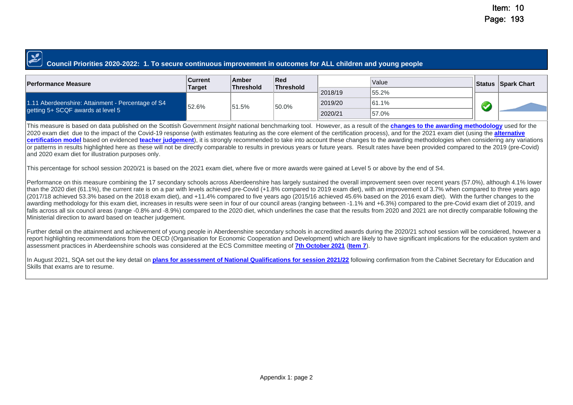#### **Council Priorities 2020-2022: 1. To secure continuous improvement in outcomes for ALL children and young people**

| <b>Performance Measure</b>                                                             | <b>Current</b><br>Target | Amber<br>Threshold | ∣Red<br>Threshold |         | Value     | <b>Status Spark Chart</b> |       |  |
|----------------------------------------------------------------------------------------|--------------------------|--------------------|-------------------|---------|-----------|---------------------------|-------|--|
|                                                                                        |                          |                    |                   | 2018/19 | $155.2\%$ |                           |       |  |
| 1.11 Aberdeenshire: Attainment - Percentage of S4<br>getting 5+ SCQF awards at level 5 | 52.6%                    | 51.5%              |                   |         | 50.0%     | 2019/20                   | 61.1% |  |
|                                                                                        |                          |                    |                   | 2020/21 | 57.0%     |                           |       |  |

This measure is based on data published on the Scottish Government *Insight* national benchmarking tool. However, as a result of the **[changes to the awarding methodology](https://www.sqa.org.uk/sqa/94362.html)** used for the 2020 exam diet due to the impact of the Covid-19 response (with estimates featuring as the core element of the certification process), and for the 2021 exam diet (using the **[alternative](https://www.sqa.org.uk/sqa/96760.html)  [certification model](https://www.sqa.org.uk/sqa/96760.html)** based on evidenced **[teacher judgement](https://www.sqa.org.uk/sqa/97701.html)**), it is strongly recommended to take into account these changes to the awarding methodologies when considering any variations or patterns in results highlighted here as these will not be directly comparable to results in previous years or future years. Result rates have been provided compared to the 2019 (pre-Covid) and 2020 exam diet for illustration purposes only.

This percentage for school session 2020/21 is based on the 2021 exam diet, where five or more awards were gained at Level 5 or above by the end of S4.

Performance on this measure combining the 17 secondary schools across Aberdeenshire has largely sustained the overall improvement seen over recent years (57.0%), although 4.1% lower than the 2020 diet (61.1%), the current rate is on a par with levels achieved pre-Covid (+1.8% compared to 2019 exam diet), with an improvement of 3.7% when compared to three years ago (2017/18 achieved 53.3% based on the 2018 exam diet), and +11.4% compared to five years ago (2015/16 achieved 45.6% based on the 2016 exam diet). With the further changes to the awarding methodology for this exam diet, increases in results were seen in four of our council areas (ranging between -1.1% and +6.3%) compared to the pre-Covid exam diet of 2019, and falls across all six council areas (range -0.8% and -8.9%) compared to the 2020 diet, which underlines the case that the results from 2020 and 2021 are not directly comparable following the Ministerial direction to award based on teacher judgement.

Further detail on the attainment and achievement of young people in Aberdeenshire secondary schools in accredited awards during the 2020/21 school session will be considered, however a report highlighting recommendations from the OECD (Organisation for Economic Cooperation and Development) which are likely to have significant implications for the education system and assessment practices in Aberdeenshire schools was considered at the ECS Committee meeting of **[7th October 2021](https://committees.aberdeenshire.gov.uk/committees.aspx?commid=494&meetid=19868)** (**[Item 7](https://committees.aberdeenshire.gov.uk/FunctionsPage.aspx?dsid=109049&action=GetFileFromDB)**).

In August 2021, SQA set out the key detail on **[plans for assessment of National Qualifications for session 2021/22](https://www.sqa.org.uk/sqa/98798.html)** following confirmation from the Cabinet Secretary for Education and Skills that exams are to resume.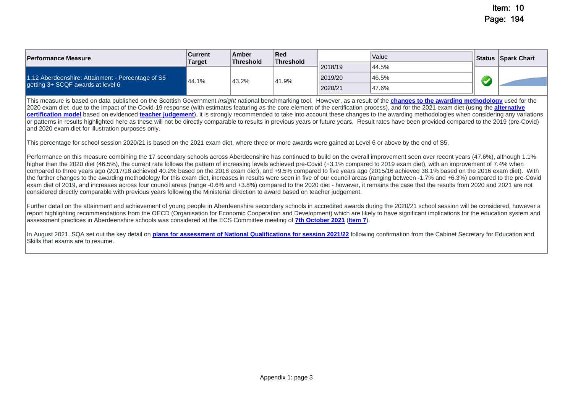| <b>Performance Measure</b>                        | Current<br><b>Target</b> | Amber<br>Threshold | Red<br>Threshold |         | Value | <b>Status Spark Chart</b> |
|---------------------------------------------------|--------------------------|--------------------|------------------|---------|-------|---------------------------|
|                                                   |                          |                    |                  | 2018/19 | 44.5% |                           |
| 1.12 Aberdeenshire: Attainment - Percentage of S5 | 44.1%                    | 43.2%              | 41.9%            | 2019/20 | 46.5% |                           |
| getting 3+ SCQF awards at level 6                 |                          |                    |                  | 2020/21 | 47.6% |                           |

This measure is based on data published on the Scottish Government *Insight* national benchmarking tool. However, as a result of the **[changes to the awarding methodology](https://www.sqa.org.uk/sqa/94362.html)** used for the 2020 exam diet due to the impact of the Covid-19 response (with estimates featuring as the core element of the certification process), and for the 2021 exam diet (using the **[alternative](https://www.sqa.org.uk/sqa/96760.html)  [certification model](https://www.sqa.org.uk/sqa/96760.html)** based on evidenced **[teacher judgement](https://www.sqa.org.uk/sqa/97701.html)**), it is strongly recommended to take into account these changes to the awarding methodologies when considering any variations or patterns in results highlighted here as these will not be directly comparable to results in previous years or future years. Result rates have been provided compared to the 2019 (pre-Covid) and 2020 exam diet for illustration purposes only.

This percentage for school session 2020/21 is based on the 2021 exam diet, where three or more awards were gained at Level 6 or above by the end of S5.

Performance on this measure combining the 17 secondary schools across Aberdeenshire has continued to build on the overall improvement seen over recent years (47.6%), although 1.1% higher than the 2020 diet (46.5%), the current rate follows the pattern of increasing levels achieved pre-Covid (+3.1% compared to 2019 exam diet), with an improvement of 7.4% when compared to three years ago (2017/18 achieved 40.2% based on the 2018 exam diet), and +9.5% compared to five years ago (2015/16 achieved 38.1% based on the 2016 exam diet). With the further changes to the awarding methodology for this exam diet, increases in results were seen in five of our council areas (ranging between -1.7% and +6.3%) compared to the pre-Covid exam diet of 2019, and increases across four council areas (range -0.6% and +3.8%) compared to the 2020 diet - however, it remains the case that the results from 2020 and 2021 are not considered directly comparable with previous years following the Ministerial direction to award based on teacher judgement.

Further detail on the attainment and achievement of young people in Aberdeenshire secondary schools in accredited awards during the 2020/21 school session will be considered, however a report highlighting recommendations from the OECD (Organisation for Economic Cooperation and Development) which are likely to have significant implications for the education system and assessment practices in Aberdeenshire schools was considered at the ECS Committee meeting of **[7th October 2021](https://committees.aberdeenshire.gov.uk/committees.aspx?commid=494&meetid=19868)** (**[Item 7](https://committees.aberdeenshire.gov.uk/FunctionsPage.aspx?dsid=109049&action=GetFileFromDB)**).

In August 2021, SQA set out the key detail on **[plans for assessment of National Qualifications for session 2021/22](https://www.sqa.org.uk/sqa/98798.html)** following confirmation from the Cabinet Secretary for Education and Skills that exams are to resume.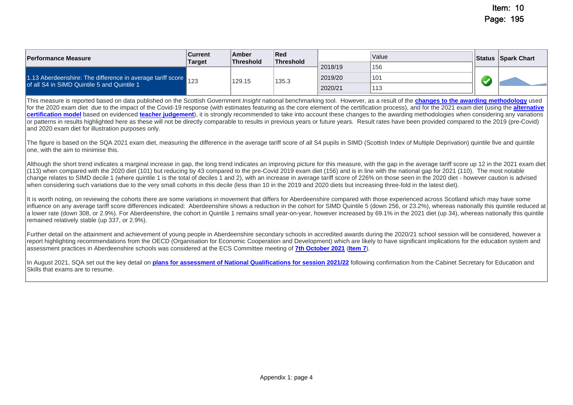| <b>Performance Measure</b>                                                                                    | <b>Current</b><br><b>Target</b> | Amber<br><b>Threshold</b> | Red<br><b>Threshold</b> |         | Value           |         | <b>Status Spark Chart</b> |  |  |
|---------------------------------------------------------------------------------------------------------------|---------------------------------|---------------------------|-------------------------|---------|-----------------|---------|---------------------------|--|--|
| 1.13 Aberdeenshire: The difference in average tariff score 123<br>of all S4 in SIMD Quintile 5 and Quintile 1 |                                 | 129.15                    |                         |         |                 | 2018/19 | 156                       |  |  |
|                                                                                                               |                                 |                           | 135.3                   | 2019/20 | 10 <sup>1</sup> |         |                           |  |  |
|                                                                                                               |                                 |                           |                         | 2020/21 | 113             |         |                           |  |  |

This measure is reported based on data published on the Scottish Government *Insight* national benchmarking tool. However, as a result of the **[changes to the awarding methodology](https://www.sqa.org.uk/sqa/94362.html)** used for the 2020 exam diet due to the impact of the Covid-19 response (with estimates featuring as the core element of the certification process), and for the 2021 exam diet (using the alternative **[certification model](https://www.sqa.org.uk/sqa/96760.html)** based on evidenced **[teacher judgement](https://www.sqa.org.uk/sqa/97701.html)**), it is strongly recommended to take into account these changes to the awarding methodologies when considering any variations or patterns in results highlighted here as these will not be directly comparable to results in previous years or future years. Result rates have been provided compared to the 2019 (pre-Covid) and 2020 exam diet for illustration purposes only.

The figure is based on the SQA 2021 exam diet, measuring the difference in the average tariff score of all S4 pupils in SIMD (Scottish Index of Multiple Deprivation) quintile five and quintile one, with the aim to minimise this.

Although the short trend indicates a marginal increase in gap, the long trend indicates an improving picture for this measure, with the gap in the average tariff score up 12 in the 2021 exam diet (113) when compared with the 2020 diet (101) but reducing by 43 compared to the pre-Covid 2019 exam diet (156) and is in line with the national gap for 2021 (110). The most notable change relates to SIMD decile 1 (where quintile 1 is the total of deciles 1 and 2), with an increase in average tariff score of 226% on those seen in the 2020 diet - however caution is advised when considering such variations due to the very small cohorts in this decile (less than 10 in the 2019 and 2020 diets but increasing three-fold in the latest diet).

It is worth noting, on reviewing the cohorts there are some variations in movement that differs for Aberdeenshire compared with those experienced across Scotland which may have some influence on any average tariff score differences indicated: Aberdeenshire shows a reduction in the cohort for SIMD Quintile 5 (down 256, or 23.2%), whereas nationally this quintile reduced at a lower rate (down 308, or 2.9%). For Aberdeenshire, the cohort in Quintile 1 remains small year-on-year, however increased by 69.1% in the 2021 diet (up 34), whereas nationally this quintile remained relatively stable (up 337, or 2.9%).

Further detail on the attainment and achievement of young people in Aberdeenshire secondary schools in accredited awards during the 2020/21 school session will be considered, however a report highlighting recommendations from the OECD (Organisation for Economic Cooperation and Development) which are likely to have significant implications for the education system and assessment practices in Aberdeenshire schools was considered at the ECS Committee meeting of **[7th October 2021](https://committees.aberdeenshire.gov.uk/committees.aspx?commid=494&meetid=19868)** (**[Item 7](https://committees.aberdeenshire.gov.uk/FunctionsPage.aspx?dsid=109049&action=GetFileFromDB)**).

In August 2021, SQA set out the key detail on **[plans for assessment of National Qualifications for session 2021/22](https://www.sqa.org.uk/sqa/98798.html)** following confirmation from the Cabinet Secretary for Education and Skills that exams are to resume.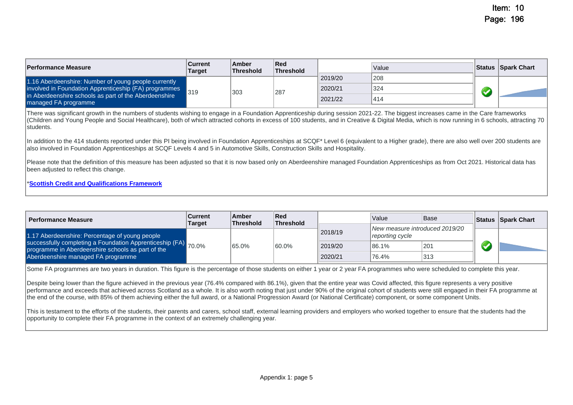| <b>Performance Measure</b>                                                     | <b>Current</b><br><b>Target</b> | Amber<br><b>Threshold</b> | $\sf Red$<br>Threshold |         | Value |  | <b>Status Spark Chart</b> |
|--------------------------------------------------------------------------------|---------------------------------|---------------------------|------------------------|---------|-------|--|---------------------------|
| 1.16 Aberdeenshire: Number of young people currently                           | 319                             | 303                       |                        | 2019/20 | 208   |  |                           |
| involved in Foundation Apprenticeship (FA) programmes                          |                                 |                           | 287                    | 2020/21 | 324   |  |                           |
| in Aberdeenshire schools as part of the Aberdeenshire<br>Imanaged FA programme |                                 |                           |                        | 2021/22 | 1414  |  |                           |

There was significant growth in the numbers of students wishing to engage in a Foundation Apprenticeship during session 2021-22. The biggest increases came in the Care frameworks (Children and Young People and Social Healthcare), both of which attracted cohorts in excess of 100 students, and in Creative & Digital Media, which is now running in 6 schools, attracting 70 students.

In addition to the 414 students reported under this PI being involved in Foundation Apprenticeships at SCQF\* Level 6 (equivalent to a Higher grade), there are also well over 200 students are also involved in Foundation Apprenticeships at SCQF Levels 4 and 5 in Automotive Skills, Construction Skills and Hospitality.

Please note that the definition of this measure has been adjusted so that it is now based only on Aberdeenshire managed Foundation Apprenticeships as from Oct 2021. Historical data has been adjusted to reflect this change.

#### \***[Scottish Credit and Qualifications Framework](https://scqf.org.uk/)**

| <b>Performance Measure</b>                                                                                          | Current<br><b>Target</b> | Amber<br><b>Threshold</b> | Red<br><b>Threshold</b> |         | Value                                             | <b>Base</b> | Status Spark Chart |
|---------------------------------------------------------------------------------------------------------------------|--------------------------|---------------------------|-------------------------|---------|---------------------------------------------------|-------------|--------------------|
| 1.17 Aberdeenshire: Percentage of young people                                                                      |                          |                           |                         | 2018/19 | New measure introduced 2019/20<br>reporting cycle |             |                    |
| successfully completing a Foundation Apprenticeship (FA) 70.0%<br>programme in Aberdeenshire schools as part of the |                          | 65.0%                     | 60.0%                   | 2019/20 | 86.1%                                             | 201         |                    |
| Aberdeenshire managed FA programme                                                                                  |                          |                           |                         | 2020/21 | 76.4%                                             | 313         |                    |

Some FA programmes are two years in duration. This figure is the percentage of those students on either 1 year or 2 year FA programmes who were scheduled to complete this year.

Despite being lower than the figure achieved in the previous year (76.4% compared with 86.1%), given that the entire year was Covid affected, this figure represents a very positive performance and exceeds that achieved across Scotland as a whole. It is also worth noting that just under 90% of the original cohort of students were still engaged in their FA programme at the end of the course, with 85% of them achieving either the full award, or a National Progression Award (or National Certificate) component, or some component Units.

This is testament to the efforts of the students, their parents and carers, school staff, external learning providers and employers who worked together to ensure that the students had the opportunity to complete their FA programme in the context of an extremely challenging year.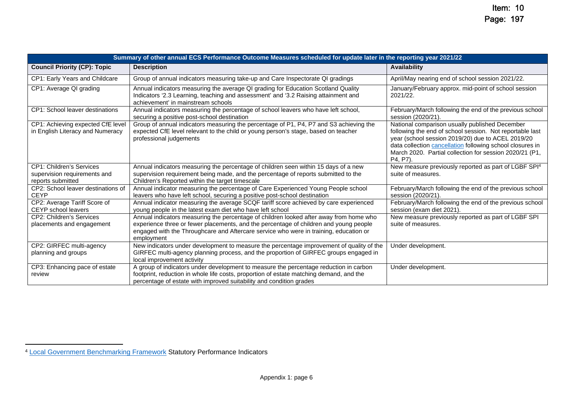|                                                                                      | Summary of other annual ECS Performance Outcome Measures scheduled for update later in the reporting year 2021/22                                                                                                                                                                      |                                                                                                                                                                                                                                                                                                     |  |  |  |  |  |  |  |  |
|--------------------------------------------------------------------------------------|----------------------------------------------------------------------------------------------------------------------------------------------------------------------------------------------------------------------------------------------------------------------------------------|-----------------------------------------------------------------------------------------------------------------------------------------------------------------------------------------------------------------------------------------------------------------------------------------------------|--|--|--|--|--|--|--|--|
| <b>Council Priority (CP): Topic</b>                                                  | <b>Description</b>                                                                                                                                                                                                                                                                     | Availability                                                                                                                                                                                                                                                                                        |  |  |  |  |  |  |  |  |
| <b>CP1: Early Years and Childcare</b>                                                | Group of annual indicators measuring take-up and Care Inspectorate QI gradings                                                                                                                                                                                                         | April/May nearing end of school session 2021/22.                                                                                                                                                                                                                                                    |  |  |  |  |  |  |  |  |
| CP1: Average QI grading                                                              | Annual indicators measuring the average QI grading for Education Scotland Quality<br>Indicators '2.3 Learning, teaching and assessment' and '3.2 Raising attainment and<br>achievement' in mainstream schools                                                                          | January/February approx. mid-point of school session<br>2021/22.                                                                                                                                                                                                                                    |  |  |  |  |  |  |  |  |
| <b>CP1: School leaver destinations</b>                                               | Annual indicators measuring the percentage of school leavers who have left school,<br>securing a positive post-school destination                                                                                                                                                      | February/March following the end of the previous school<br>session (2020/21).                                                                                                                                                                                                                       |  |  |  |  |  |  |  |  |
| CP1: Achieving expected CfE level<br>in English Literacy and Numeracy                | Group of annual indicators measuring the percentage of P1, P4, P7 and S3 achieving the<br>expected CfE level relevant to the child or young person's stage, based on teacher<br>professional judgements                                                                                | National comparison usually published December<br>following the end of school session. Not reportable last<br>year (school session 2019/20) due to ACEL 2019/20<br>data collection cancellation following school closures in<br>March 2020. Partial collection for session 2020/21 (P1,<br>P4. P7). |  |  |  |  |  |  |  |  |
| <b>CP1: Children's Services</b><br>supervision requirements and<br>reports submitted | Annual indicators measuring the percentage of children seen within 15 days of a new<br>supervision requirement being made, and the percentage of reports submitted to the<br>Children's Reported within the target timescale                                                           | New measure previously reported as part of LGBF SPI <sup>4</sup><br>suite of measures.                                                                                                                                                                                                              |  |  |  |  |  |  |  |  |
| CP2: School leaver destinations of<br><b>CEYP</b>                                    | Annual indicator measuring the percentage of Care Experienced Young People school<br>leavers who have left school, securing a positive post-school destination                                                                                                                         | February/March following the end of the previous school<br>session (2020/21).                                                                                                                                                                                                                       |  |  |  |  |  |  |  |  |
| CP2: Average Tariff Score of<br><b>CEYP</b> school leavers                           | Annual indicator measuring the average SCQF tariff score achieved by care experienced<br>young people in the latest exam diet who have left school                                                                                                                                     | February/March following the end of the previous school<br>session (exam diet 2021).                                                                                                                                                                                                                |  |  |  |  |  |  |  |  |
| <b>CP2: Children's Services</b><br>placements and engagement                         | Annual indicators measuring the percentage of children looked after away from home who<br>experience three or fewer placements, and the percentage of children and young people<br>engaged with the Throughcare and Aftercare service who were in training, education or<br>employment | New measure previously reported as part of LGBF SPI<br>suite of measures.                                                                                                                                                                                                                           |  |  |  |  |  |  |  |  |
| CP2: GIRFEC multi-agency<br>planning and groups                                      | New indicators under development to measure the percentage improvement of quality of the<br>GIRFEC multi-agency planning process, and the proportion of GIRFEC groups engaged in<br>local improvement activity                                                                         | Under development.                                                                                                                                                                                                                                                                                  |  |  |  |  |  |  |  |  |
| CP3: Enhancing pace of estate<br>review                                              | A group of indicators under development to measure the percentage reduction in carbon<br>footprint, reduction in whole life costs, proportion of estate matching demand, and the<br>percentage of estate with improved suitability and condition grades                                | Under development.                                                                                                                                                                                                                                                                                  |  |  |  |  |  |  |  |  |

<sup>4</sup> Local Government Benchmarking Framework Statutory Performance Indicators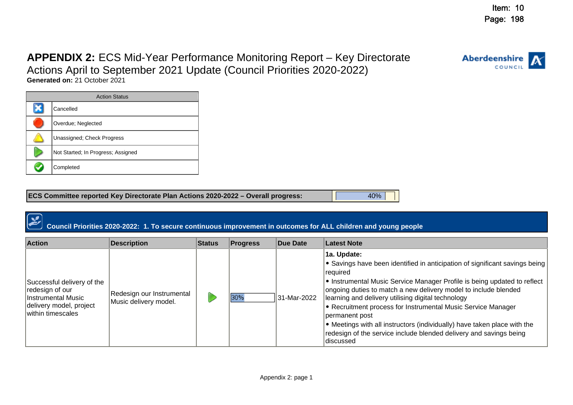# **APPENDIX 2:** ECS Mid-Year Performance Monitoring Report – Key Directorate

Actions April to September 2021 Update (Council Priorities 2020-2022)

**Generated on:** 21 October 2021

| <b>Action Status</b> |                                    |  |  |  |  |  |  |  |
|----------------------|------------------------------------|--|--|--|--|--|--|--|
|                      | Cancelled                          |  |  |  |  |  |  |  |
|                      | Overdue; Neglected                 |  |  |  |  |  |  |  |
|                      | Unassigned; Check Progress         |  |  |  |  |  |  |  |
|                      | Not Started; In Progress; Assigned |  |  |  |  |  |  |  |
|                      | Completed                          |  |  |  |  |  |  |  |

| <b>ECS Committee reported Key Directorate Plan Actions 2020-2022 - Overall progress:</b> | 40% |
|------------------------------------------------------------------------------------------|-----|
|                                                                                          |     |

# **Council Priorities 2020-2022: 1. To secure continuous improvement in outcomes for ALL children and young people**

| <b>Action</b>                                                                                                       | <b>Description</b>                                 | <b>Status</b> | <b>Progress</b> | Due Date    | Latest Note                                                                                                                                                                                                                                                                                                                                                                                                                                                                                                                                                                                 |
|---------------------------------------------------------------------------------------------------------------------|----------------------------------------------------|---------------|-----------------|-------------|---------------------------------------------------------------------------------------------------------------------------------------------------------------------------------------------------------------------------------------------------------------------------------------------------------------------------------------------------------------------------------------------------------------------------------------------------------------------------------------------------------------------------------------------------------------------------------------------|
| Successful delivery of the<br>redesign of our<br>Instrumental Music<br>delivery model, project<br>within timescales | Redesign our Instrumental<br>Music delivery model. |               | 30%             | 31-Mar-2022 | 1a. Update:<br>$\blacktriangleright$ Savings have been identified in anticipation of significant savings being<br> required <br>I Instrumental Music Service Manager Profile is being updated to reflect<br>ongoing duties to match a new delivery model to include blended<br>learning and delivery utilising digital technology<br>• Recruitment process for Instrumental Music Service Manager<br>permanent post<br>$\bullet$ Meetings with all instructors (individually) have taken place with the<br>redesign of the service include blended delivery and savings being<br>ldiscussed |

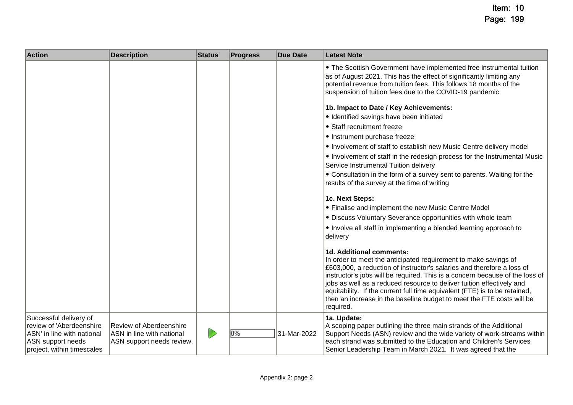| <b>Action</b>                                                                                                                        | <b>Description</b>                                                                       | <b>Status</b> | <b>Progress</b> | <b>Due Date</b> | <b>Latest Note</b>                                                                                                                                                                                                                                                                                                                                                                                                                                                                                 |
|--------------------------------------------------------------------------------------------------------------------------------------|------------------------------------------------------------------------------------------|---------------|-----------------|-----------------|----------------------------------------------------------------------------------------------------------------------------------------------------------------------------------------------------------------------------------------------------------------------------------------------------------------------------------------------------------------------------------------------------------------------------------------------------------------------------------------------------|
|                                                                                                                                      |                                                                                          |               |                 |                 | • The Scottish Government have implemented free instrumental tuition<br>as of August 2021. This has the effect of significantly limiting any<br>potential revenue from tuition fees. This follows 18 months of the<br>suspension of tuition fees due to the COVID-19 pandemic                                                                                                                                                                                                                      |
|                                                                                                                                      |                                                                                          |               |                 |                 | 1b. Impact to Date / Key Achievements:                                                                                                                                                                                                                                                                                                                                                                                                                                                             |
|                                                                                                                                      |                                                                                          |               |                 |                 | · Identified savings have been initiated                                                                                                                                                                                                                                                                                                                                                                                                                                                           |
|                                                                                                                                      |                                                                                          |               |                 |                 | • Staff recruitment freeze                                                                                                                                                                                                                                                                                                                                                                                                                                                                         |
|                                                                                                                                      |                                                                                          |               |                 |                 | • Instrument purchase freeze                                                                                                                                                                                                                                                                                                                                                                                                                                                                       |
|                                                                                                                                      |                                                                                          |               |                 |                 | • Involvement of staff to establish new Music Centre delivery model                                                                                                                                                                                                                                                                                                                                                                                                                                |
|                                                                                                                                      |                                                                                          |               |                 |                 | . Involvement of staff in the redesign process for the Instrumental Music<br>Service Instrumental Tuition delivery                                                                                                                                                                                                                                                                                                                                                                                 |
|                                                                                                                                      |                                                                                          |               |                 |                 | • Consultation in the form of a survey sent to parents. Waiting for the<br>results of the survey at the time of writing                                                                                                                                                                                                                                                                                                                                                                            |
|                                                                                                                                      |                                                                                          |               |                 |                 | 1c. Next Steps:                                                                                                                                                                                                                                                                                                                                                                                                                                                                                    |
|                                                                                                                                      |                                                                                          |               |                 |                 | • Finalise and implement the new Music Centre Model                                                                                                                                                                                                                                                                                                                                                                                                                                                |
|                                                                                                                                      |                                                                                          |               |                 |                 | • Discuss Voluntary Severance opportunities with whole team                                                                                                                                                                                                                                                                                                                                                                                                                                        |
|                                                                                                                                      |                                                                                          |               |                 |                 | • Involve all staff in implementing a blended learning approach to<br>delivery                                                                                                                                                                                                                                                                                                                                                                                                                     |
|                                                                                                                                      |                                                                                          |               |                 |                 | 1d. Additional comments:<br>In order to meet the anticipated requirement to make savings of<br>£603,000, a reduction of instructor's salaries and therefore a loss of<br>instructor's jobs will be required. This is a concern because of the loss of<br>jobs as well as a reduced resource to deliver tuition effectively and<br>equitability. If the current full time equivalent (FTE) is to be retained,<br>then an increase in the baseline budget to meet the FTE costs will be<br>required. |
| Successful delivery of<br>review of 'Aberdeenshire'<br>ASN' in line with national<br>ASN support needs<br>project, within timescales | <b>Review of Aberdeenshire</b><br>ASN in line with national<br>ASN support needs review. | D             | 0%              | 31-Mar-2022     | 1a. Update:<br>A scoping paper outlining the three main strands of the Additional<br>Support Needs (ASN) review and the wide variety of work-streams within<br>each strand was submitted to the Education and Children's Services<br>Senior Leadership Team in March 2021. It was agreed that the                                                                                                                                                                                                  |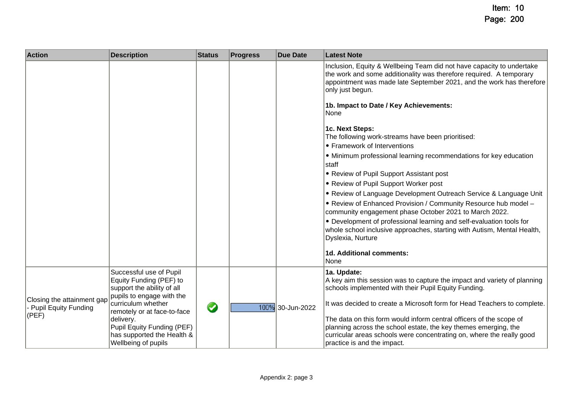| <b>Action</b>                                                 | <b>Description</b>                                                                                            | <b>Status</b> | <b>Progress</b> | <b>Due Date</b>  | <b>Latest Note</b>                                                                                                                                                                                                                                                                                |
|---------------------------------------------------------------|---------------------------------------------------------------------------------------------------------------|---------------|-----------------|------------------|---------------------------------------------------------------------------------------------------------------------------------------------------------------------------------------------------------------------------------------------------------------------------------------------------|
|                                                               |                                                                                                               |               |                 |                  | Inclusion, Equity & Wellbeing Team did not have capacity to undertake<br>the work and some additionality was therefore required. A temporary<br>appointment was made late September 2021, and the work has therefore<br>only just begun.                                                          |
|                                                               |                                                                                                               |               |                 |                  | 1b. Impact to Date / Key Achievements:<br>None                                                                                                                                                                                                                                                    |
|                                                               |                                                                                                               |               |                 |                  | 1c. Next Steps:<br>The following work-streams have been prioritised:<br>• Framework of Interventions                                                                                                                                                                                              |
|                                                               |                                                                                                               |               |                 |                  | • Minimum professional learning recommendations for key education<br>staff                                                                                                                                                                                                                        |
|                                                               |                                                                                                               |               |                 |                  | • Review of Pupil Support Assistant post                                                                                                                                                                                                                                                          |
|                                                               |                                                                                                               |               |                 |                  | • Review of Pupil Support Worker post<br>. Review of Language Development Outreach Service & Language Unit                                                                                                                                                                                        |
|                                                               |                                                                                                               |               |                 |                  | . Review of Enhanced Provision / Community Resource hub model -<br>community engagement phase October 2021 to March 2022.<br>• Development of professional learning and self-evaluation tools for<br>whole school inclusive approaches, starting with Autism, Mental Health,<br>Dyslexia, Nurture |
|                                                               |                                                                                                               |               |                 |                  | 1d. Additional comments:<br>None                                                                                                                                                                                                                                                                  |
|                                                               | Successful use of Pupil<br>Equity Funding (PEF) to<br>support the ability of all<br>pupils to engage with the |               |                 |                  | 1a. Update:<br>A key aim this session was to capture the impact and variety of planning<br>schools implemented with their Pupil Equity Funding.                                                                                                                                                   |
| Closing the attainment gap<br>- Pupil Equity Funding<br>(PEF) | curriculum whether<br>remotely or at face-to-face<br>delivery.<br>Pupil Equity Funding (PEF)                  | $\bullet$     |                 | 100% 30-Jun-2022 | It was decided to create a Microsoft form for Head Teachers to complete.<br>The data on this form would inform central officers of the scope of<br>planning across the school estate, the key themes emerging, the                                                                                |
|                                                               | has supported the Health &<br>Wellbeing of pupils                                                             |               |                 |                  | curricular areas schools were concentrating on, where the really good<br>practice is and the impact.                                                                                                                                                                                              |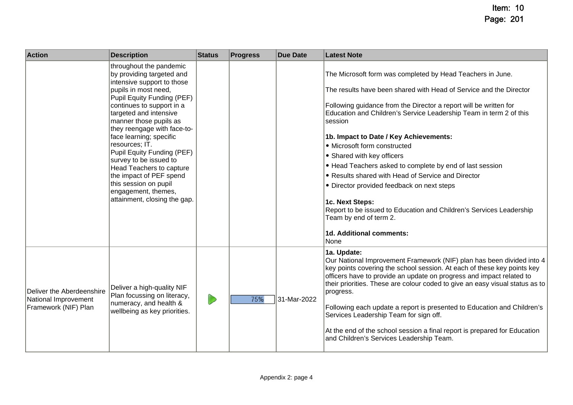| <b>Action</b>                                                             | <b>Description</b>                                                                                                                                                                                                                                                                                                                                                                                                                                                                                          | <b>Status</b> | <b>Progress</b> | <b>Due Date</b> | <b>Latest Note</b>                                                                                                                                                                                                                                                                                                                                                                                                                                                                                                                                                                                                                                                                                                     |
|---------------------------------------------------------------------------|-------------------------------------------------------------------------------------------------------------------------------------------------------------------------------------------------------------------------------------------------------------------------------------------------------------------------------------------------------------------------------------------------------------------------------------------------------------------------------------------------------------|---------------|-----------------|-----------------|------------------------------------------------------------------------------------------------------------------------------------------------------------------------------------------------------------------------------------------------------------------------------------------------------------------------------------------------------------------------------------------------------------------------------------------------------------------------------------------------------------------------------------------------------------------------------------------------------------------------------------------------------------------------------------------------------------------------|
|                                                                           | throughout the pandemic<br>by providing targeted and<br>intensive support to those<br>pupils in most need,<br>Pupil Equity Funding (PEF)<br>continues to support in a<br>targeted and intensive<br>manner those pupils as<br>they reengage with face-to-<br>face learning; specific<br>resources; IT.<br>Pupil Equity Funding (PEF)<br>survey to be issued to<br><b>Head Teachers to capture</b><br>the impact of PEF spend<br>this session on pupil<br>engagement, themes,<br>attainment, closing the gap. |               |                 |                 | The Microsoft form was completed by Head Teachers in June.<br>The results have been shared with Head of Service and the Director<br>Following guidance from the Director a report will be written for<br>Education and Children's Service Leadership Team in term 2 of this<br>session<br>1b. Impact to Date / Key Achievements:<br>• Microsoft form constructed<br>• Shared with key officers<br>• Head Teachers asked to complete by end of last session<br>• Results shared with Head of Service and Director<br>• Director provided feedback on next steps<br>1c. Next Steps:<br>Report to be issued to Education and Children's Services Leadership<br>Team by end of term 2.<br>1d. Additional comments:<br>None |
| Deliver the Aberdeenshire<br>National Improvement<br>Framework (NIF) Plan | Deliver a high-quality NIF<br>Plan focussing on literacy,<br>numeracy, and health &<br>wellbeing as key priorities.                                                                                                                                                                                                                                                                                                                                                                                         | D             | 75%             | 31-Mar-2022     | 1a. Update:<br>Our National Improvement Framework (NIF) plan has been divided into 4<br>key points covering the school session. At each of these key points key<br>officers have to provide an update on progress and impact related to<br>their priorities. These are colour coded to give an easy visual status as to<br>progress.<br>Following each update a report is presented to Education and Children's<br>Services Leadership Team for sign off.<br>At the end of the school session a final report is prepared for Education<br>and Children's Services Leadership Team.                                                                                                                                     |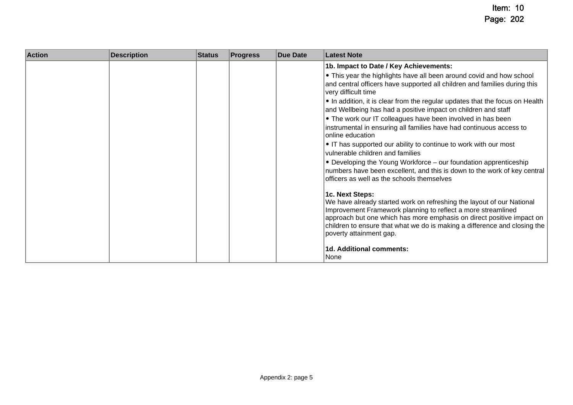| <b>Action</b> | <b>Description</b> | <b>Status</b> | <b>Progress</b> | <b>Due Date</b> | <b>Latest Note</b>                                                                                                                                                                                                                                                                                                                        |
|---------------|--------------------|---------------|-----------------|-----------------|-------------------------------------------------------------------------------------------------------------------------------------------------------------------------------------------------------------------------------------------------------------------------------------------------------------------------------------------|
|               |                    |               |                 |                 | 1b. Impact to Date / Key Achievements:                                                                                                                                                                                                                                                                                                    |
|               |                    |               |                 |                 | • This year the highlights have all been around covid and how school<br>and central officers have supported all children and families during this<br>very difficult time                                                                                                                                                                  |
|               |                    |               |                 |                 | • In addition, it is clear from the regular updates that the focus on Health<br>and Wellbeing has had a positive impact on children and staff                                                                                                                                                                                             |
|               |                    |               |                 |                 | • The work our IT colleagues have been involved in has been<br>instrumental in ensuring all families have had continuous access to<br>online education                                                                                                                                                                                    |
|               |                    |               |                 |                 | • IT has supported our ability to continue to work with our most<br>vulnerable children and families                                                                                                                                                                                                                                      |
|               |                    |               |                 |                 | • Developing the Young Workforce - our foundation apprenticeship<br>numbers have been excellent, and this is down to the work of key central<br>officers as well as the schools themselves                                                                                                                                                |
|               |                    |               |                 |                 | 1c. Next Steps:<br>We have already started work on refreshing the layout of our National<br>Improvement Framework planning to reflect a more streamlined<br>approach but one which has more emphasis on direct positive impact on<br>children to ensure that what we do is making a difference and closing the<br>poverty attainment gap. |
|               |                    |               |                 |                 | 1d. Additional comments:<br>None                                                                                                                                                                                                                                                                                                          |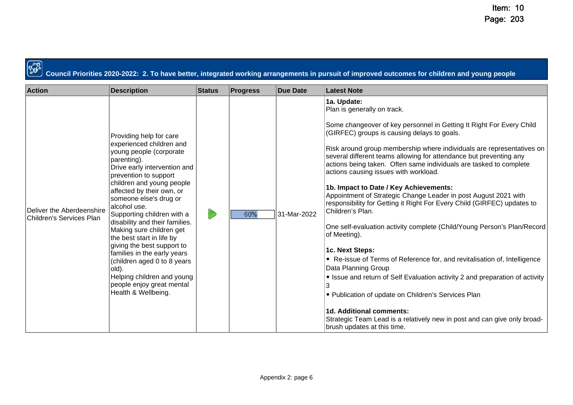$\mathbb{C}$ 

**Council Priorities 2020-2022: 2. To have better, integrated working arrangements in pursuit of improved outcomes for children and young people**

| <b>Action</b>                                         | <b>Description</b>                                                                                                                                                                                                                                                                                                                                                                                                                                                                                                                                                           | <b>Status</b> | <b>Progress</b> | <b>Due Date</b> | <b>Latest Note</b>                                                                                                                                                                                                                                                                                                                                                                                                                                                                                                                                                                                                                                                                                                                                                                                                                                                                                                                                                                                                                                                                                                                          |
|-------------------------------------------------------|------------------------------------------------------------------------------------------------------------------------------------------------------------------------------------------------------------------------------------------------------------------------------------------------------------------------------------------------------------------------------------------------------------------------------------------------------------------------------------------------------------------------------------------------------------------------------|---------------|-----------------|-----------------|---------------------------------------------------------------------------------------------------------------------------------------------------------------------------------------------------------------------------------------------------------------------------------------------------------------------------------------------------------------------------------------------------------------------------------------------------------------------------------------------------------------------------------------------------------------------------------------------------------------------------------------------------------------------------------------------------------------------------------------------------------------------------------------------------------------------------------------------------------------------------------------------------------------------------------------------------------------------------------------------------------------------------------------------------------------------------------------------------------------------------------------------|
| Deliver the Aberdeenshire<br>Children's Services Plan | Providing help for care<br>experienced children and<br>young people (corporate<br>parenting).<br>Drive early intervention and<br>prevention to support<br>children and young people<br>affected by their own, or<br>someone else's drug or<br>alcohol use.<br>Supporting children with a<br>disability and their families.<br>Making sure children get<br>the best start in life by<br>giving the best support to<br>families in the early years<br>(children aged 0 to 8 years)<br> old).<br>Helping children and young<br>people enjoy great mental<br>Health & Wellbeing. | D             | 60%             | 31-Mar-2022     | 1a. Update:<br>Plan is generally on track.<br>Some changeover of key personnel in Getting It Right For Every Child<br>(GIRFEC) groups is causing delays to goals.<br>Risk around group membership where individuals are representatives on<br>several different teams allowing for attendance but preventing any<br>actions being taken. Often same individuals are tasked to complete<br>actions causing issues with workload.<br>1b. Impact to Date / Key Achievements:<br>Appointment of Strategic Change Leader in post August 2021 with<br>responsibility for Getting it Right For Every Child (GIRFEC) updates to<br>Children's Plan.<br>One self-evaluation activity complete (Child/Young Person's Plan/Record<br>of Meeting).<br>1c. Next Steps:<br>• Re-issue of Terms of Reference for, and revitalisation of, Intelligence<br>Data Planning Group<br>• Issue and return of Self Evaluation activity 2 and preparation of activity<br>• Publication of update on Children's Services Plan<br>1d. Additional comments:<br>Strategic Team Lead is a relatively new in post and can give only broad-<br>brush updates at this time. |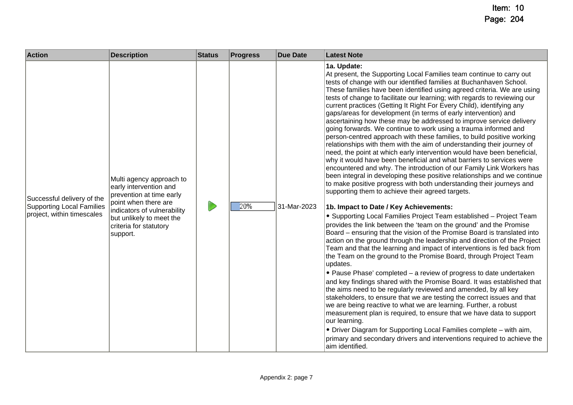| <b>Action</b>                                                                                | <b>Description</b>                                                                                                                                                                                      | <b>Status</b> | <b>Progress</b> | <b>Due Date</b> | <b>Latest Note</b>                                                                                                                                                                                                                                                                                                                                                                                                                                                                                                                                                                                                                                                                                                                                                                                                                                                                                                                                                                                                                                                                                                                                                                                                                                                                                                                                                                                                                                                                                                                                                                                                                                                                                                                                                                                                                                                                                                                                                                                                                                                                                                                                                                                                                                                                                                                         |
|----------------------------------------------------------------------------------------------|---------------------------------------------------------------------------------------------------------------------------------------------------------------------------------------------------------|---------------|-----------------|-----------------|--------------------------------------------------------------------------------------------------------------------------------------------------------------------------------------------------------------------------------------------------------------------------------------------------------------------------------------------------------------------------------------------------------------------------------------------------------------------------------------------------------------------------------------------------------------------------------------------------------------------------------------------------------------------------------------------------------------------------------------------------------------------------------------------------------------------------------------------------------------------------------------------------------------------------------------------------------------------------------------------------------------------------------------------------------------------------------------------------------------------------------------------------------------------------------------------------------------------------------------------------------------------------------------------------------------------------------------------------------------------------------------------------------------------------------------------------------------------------------------------------------------------------------------------------------------------------------------------------------------------------------------------------------------------------------------------------------------------------------------------------------------------------------------------------------------------------------------------------------------------------------------------------------------------------------------------------------------------------------------------------------------------------------------------------------------------------------------------------------------------------------------------------------------------------------------------------------------------------------------------------------------------------------------------------------------------------------------------|
| Successful delivery of the<br><b>Supporting Local Families</b><br>project, within timescales | Multi agency approach to<br>early intervention and<br>prevention at time early<br>point when there are<br>indicators of vulnerability<br>but unlikely to meet the<br>criteria for statutory<br>support. |               | 20%             | 31-Mar-2023     | 1a. Update:<br>At present, the Supporting Local Families team continue to carry out<br>tests of change with our identified families at Buchanhaven School.<br>These families have been identified using agreed criteria. We are using<br>tests of change to facilitate our learning; with regards to reviewing our<br>current practices (Getting It Right For Every Child), identifying any<br>gaps/areas for development (in terms of early intervention) and<br>ascertaining how these may be addressed to improve service delivery<br>going forwards. We continue to work using a trauma informed and<br>person-centred approach with these families, to build positive working<br>relationships with them with the aim of understanding their journey of<br>need, the point at which early intervention would have been beneficial,<br>why it would have been beneficial and what barriers to services were<br>encountered and why. The introduction of our Family Link Workers has<br>been integral in developing these positive relationships and we continue<br>to make positive progress with both understanding their journeys and<br>supporting them to achieve their agreed targets.<br>1b. Impact to Date / Key Achievements:<br>• Supporting Local Families Project Team established - Project Team<br>provides the link between the 'team on the ground' and the Promise<br>Board - ensuring that the vision of the Promise Board is translated into<br>action on the ground through the leadership and direction of the Project<br>Team and that the learning and impact of interventions is fed back from<br>the Team on the ground to the Promise Board, through Project Team<br>updates.<br>• Pause Phase' completed – a review of progress to date undertaken<br>and key findings shared with the Promise Board. It was established that<br>the aims need to be regularly reviewed and amended, by all key<br>stakeholders, to ensure that we are testing the correct issues and that<br>we are being reactive to what we are learning. Further, a robust<br>measurement plan is required, to ensure that we have data to support<br>our learning.<br>• Driver Diagram for Supporting Local Families complete - with aim,<br>primary and secondary drivers and interventions required to achieve the<br>aim identified. |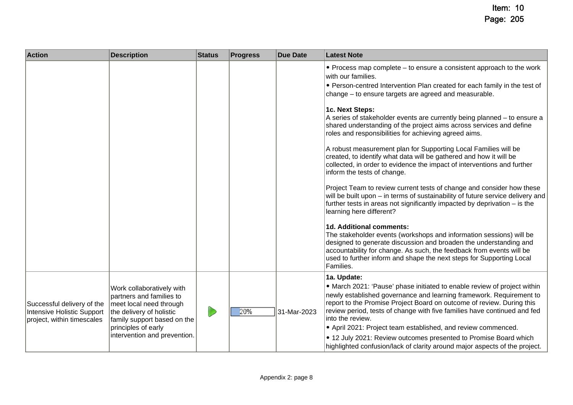| <b>Action</b>                                                                          | <b>Description</b>                                                                                                                                                                                 | <b>Status</b> | <b>Progress</b> | <b>Due Date</b> | <b>Latest Note</b>                                                                                                                                                                                                                                                                                                                                                                                                                                                                                                                                                                                                                                                                                                                                                                                                                                                                                                                                                                                                                                                                                                                                                                                                                                                                                                            |
|----------------------------------------------------------------------------------------|----------------------------------------------------------------------------------------------------------------------------------------------------------------------------------------------------|---------------|-----------------|-----------------|-------------------------------------------------------------------------------------------------------------------------------------------------------------------------------------------------------------------------------------------------------------------------------------------------------------------------------------------------------------------------------------------------------------------------------------------------------------------------------------------------------------------------------------------------------------------------------------------------------------------------------------------------------------------------------------------------------------------------------------------------------------------------------------------------------------------------------------------------------------------------------------------------------------------------------------------------------------------------------------------------------------------------------------------------------------------------------------------------------------------------------------------------------------------------------------------------------------------------------------------------------------------------------------------------------------------------------|
|                                                                                        |                                                                                                                                                                                                    |               |                 |                 | • Process map complete – to ensure a consistent approach to the work<br>with our families.<br>• Person-centred Intervention Plan created for each family in the test of<br>change - to ensure targets are agreed and measurable.<br>1c. Next Steps:<br>A series of stakeholder events are currently being planned - to ensure a<br>shared understanding of the project aims across services and define<br>roles and responsibilities for achieving agreed aims.<br>A robust measurement plan for Supporting Local Families will be<br>created, to identify what data will be gathered and how it will be<br>collected, in order to evidence the impact of interventions and further<br>inform the tests of change.<br>Project Team to review current tests of change and consider how these<br>will be built upon - in terms of sustainability of future service delivery and<br>further tests in areas not significantly impacted by deprivation $-$ is the<br>learning here different?<br>1d. Additional comments:<br>The stakeholder events (workshops and information sessions) will be<br>designed to generate discussion and broaden the understanding and<br>accountability for change. As such, the feedback from events will be<br>used to further inform and shape the next steps for Supporting Local<br>Families. |
| Successful delivery of the<br>Intensive Holistic Support<br>project, within timescales | Work collaboratively with<br>partners and families to<br>meet local need through<br>the delivery of holistic<br>family support based on the<br>principles of early<br>intervention and prevention. | D             | 20%             | 31-Mar-2023     | 1a. Update:<br>• March 2021: 'Pause' phase initiated to enable review of project within<br>newly established governance and learning framework. Requirement to<br>report to the Promise Project Board on outcome of review. During this<br>review period, tests of change with five families have continued and fed<br>into the review.<br>• April 2021: Project team established, and review commenced.<br>• 12 July 2021: Review outcomes presented to Promise Board which<br>highlighted confusion/lack of clarity around major aspects of the project.                                                                                                                                                                                                                                                                                                                                                                                                                                                                                                                                                                                                                                                                                                                                                                    |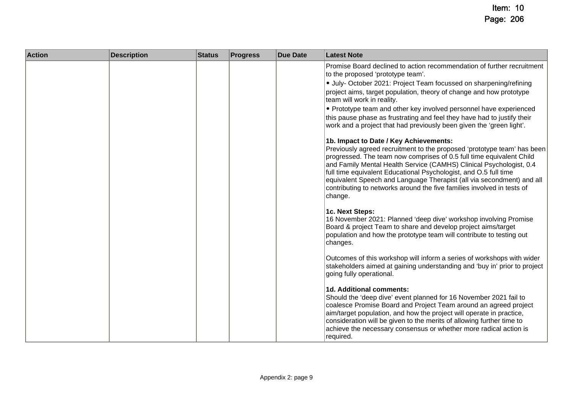| <b>Action</b> | <b>Description</b> | <b>Status</b> | <b>Progress</b> | <b>Due Date</b> | <b>Latest Note</b>                                                                                                                                                                                                                                                                                                                                                                                                                                                                                                                                                                                                                   |
|---------------|--------------------|---------------|-----------------|-----------------|--------------------------------------------------------------------------------------------------------------------------------------------------------------------------------------------------------------------------------------------------------------------------------------------------------------------------------------------------------------------------------------------------------------------------------------------------------------------------------------------------------------------------------------------------------------------------------------------------------------------------------------|
|               |                    |               |                 |                 | Promise Board declined to action recommendation of further recruitment<br>to the proposed 'prototype team'.<br>· July- October 2021: Project Team focussed on sharpening/refining<br>project aims, target population, theory of change and how prototype<br>team will work in reality.<br>• Prototype team and other key involved personnel have experienced<br>this pause phase as frustrating and feel they have had to justify their<br>work and a project that had previously been given the 'green light'.<br>1b. Impact to Date / Key Achievements:<br>Previously agreed recruitment to the proposed 'prototype team' has been |
|               |                    |               |                 |                 | progressed. The team now comprises of 0.5 full time equivalent Child<br>and Family Mental Health Service (CAMHS) Clinical Psychologist, 0.4<br>full time equivalent Educational Psychologist, and O.5 full time<br>equivalent Speech and Language Therapist (all via secondment) and all<br>contributing to networks around the five families involved in tests of<br>change.                                                                                                                                                                                                                                                        |
|               |                    |               |                 |                 | 1c. Next Steps:<br>16 November 2021: Planned 'deep dive' workshop involving Promise<br>Board & project Team to share and develop project aims/target<br>population and how the prototype team will contribute to testing out<br>changes.                                                                                                                                                                                                                                                                                                                                                                                             |
|               |                    |               |                 |                 | Outcomes of this workshop will inform a series of workshops with wider<br>stakeholders aimed at gaining understanding and 'buy in' prior to project<br>going fully operational.                                                                                                                                                                                                                                                                                                                                                                                                                                                      |
|               |                    |               |                 |                 | 1d. Additional comments:<br>Should the 'deep dive' event planned for 16 November 2021 fail to<br>coalesce Promise Board and Project Team around an agreed project<br>aim/target population, and how the project will operate in practice,<br>consideration will be given to the merits of allowing further time to<br>achieve the necessary consensus or whether more radical action is<br>required.                                                                                                                                                                                                                                 |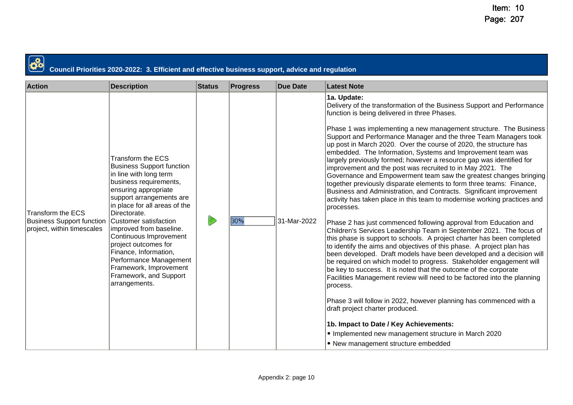| Council Priorities 2020-2022: 3. Efficient and effective business support, advice and regulation |                                                                                                                                                                                                                                                                                                                                                                                                                                                     |               |                 |                 |                                                                                                                                                                                                                                                                                                                                                                                                                                                                                                                                                                                                                                                                                                                                                                                                                                                                                                                                                                                                                                                                                                                                                                                                                                                                                                                                                                                                                                                                                                                                                                                                                                                                                                                                  |  |  |
|--------------------------------------------------------------------------------------------------|-----------------------------------------------------------------------------------------------------------------------------------------------------------------------------------------------------------------------------------------------------------------------------------------------------------------------------------------------------------------------------------------------------------------------------------------------------|---------------|-----------------|-----------------|----------------------------------------------------------------------------------------------------------------------------------------------------------------------------------------------------------------------------------------------------------------------------------------------------------------------------------------------------------------------------------------------------------------------------------------------------------------------------------------------------------------------------------------------------------------------------------------------------------------------------------------------------------------------------------------------------------------------------------------------------------------------------------------------------------------------------------------------------------------------------------------------------------------------------------------------------------------------------------------------------------------------------------------------------------------------------------------------------------------------------------------------------------------------------------------------------------------------------------------------------------------------------------------------------------------------------------------------------------------------------------------------------------------------------------------------------------------------------------------------------------------------------------------------------------------------------------------------------------------------------------------------------------------------------------------------------------------------------------|--|--|
| <b>Action</b>                                                                                    | <b>Description</b>                                                                                                                                                                                                                                                                                                                                                                                                                                  | <b>Status</b> | <b>Progress</b> | <b>Due Date</b> | <b>Latest Note</b>                                                                                                                                                                                                                                                                                                                                                                                                                                                                                                                                                                                                                                                                                                                                                                                                                                                                                                                                                                                                                                                                                                                                                                                                                                                                                                                                                                                                                                                                                                                                                                                                                                                                                                               |  |  |
| Transform the ECS<br><b>Business Support function</b><br>project, within timescales              | <b>Transform the ECS</b><br><b>Business Support function</b><br>in line with long term<br>business requirements,<br>ensuring appropriate<br>support arrangements are<br>in place for all areas of the<br>Directorate.<br>Customer satisfaction<br>improved from baseline.<br>Continuous Improvement<br>project outcomes for<br>Finance, Information,<br>Performance Management<br>Framework, Improvement<br>Framework, and Support<br>arrangements. |               | 30%             | 31-Mar-2022     | 1a. Update:<br>Delivery of the transformation of the Business Support and Performance<br>function is being delivered in three Phases.<br>Phase 1 was implementing a new management structure. The Business<br>Support and Performance Manager and the three Team Managers took<br>up post in March 2020. Over the course of 2020, the structure has<br>embedded. The Information, Systems and Improvement team was<br>largely previously formed; however a resource gap was identified for<br>improvement and the post was recruited to in May 2021. The<br>Governance and Empowerment team saw the greatest changes bringing<br>together previously disparate elements to form three teams: Finance,<br>Business and Administration, and Contracts. Significant improvement<br>activity has taken place in this team to modernise working practices and<br>processes.<br>Phase 2 has just commenced following approval from Education and<br>Children's Services Leadership Team in September 2021. The focus of<br>this phase is support to schools. A project charter has been completed<br>to identify the aims and objectives of this phase. A project plan has<br>been developed. Draft models have been developed and a decision will<br>be required on which model to progress. Stakeholder engagement will<br>be key to success. It is noted that the outcome of the corporate<br>Facilities Management review will need to be factored into the planning<br>process.<br>Phase 3 will follow in 2022, however planning has commenced with a<br>draft project charter produced.<br>1b. Impact to Date / Key Achievements:<br>• Implemented new management structure in March 2020<br>• New management structure embedded |  |  |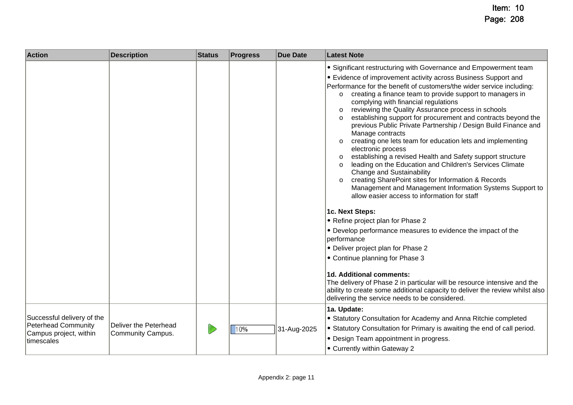| <b>Action</b>                                                                                    | <b>Description</b>                         | <b>Status</b> | <b>Progress</b> | <b>Due Date</b> | <b>Latest Note</b>                                                                                                                                                                                                                                                                                                                                                                                                                                                                                                                                                                                                                                                                                                                                                                                                                                                                                                                                                                                                              |
|--------------------------------------------------------------------------------------------------|--------------------------------------------|---------------|-----------------|-----------------|---------------------------------------------------------------------------------------------------------------------------------------------------------------------------------------------------------------------------------------------------------------------------------------------------------------------------------------------------------------------------------------------------------------------------------------------------------------------------------------------------------------------------------------------------------------------------------------------------------------------------------------------------------------------------------------------------------------------------------------------------------------------------------------------------------------------------------------------------------------------------------------------------------------------------------------------------------------------------------------------------------------------------------|
|                                                                                                  |                                            |               |                 |                 | • Significant restructuring with Governance and Empowerment team<br>• Evidence of improvement activity across Business Support and<br>Performance for the benefit of customers/the wider service including:<br>creating a finance team to provide support to managers in<br>$\circ$<br>complying with financial regulations<br>reviewing the Quality Assurance process in schools<br>$\circ$<br>establishing support for procurement and contracts beyond the<br>$\circ$<br>previous Public Private Partnership / Design Build Finance and<br>Manage contracts<br>creating one lets team for education lets and implementing<br>$\circ$<br>electronic process<br>establishing a revised Health and Safety support structure<br>$\circ$<br>leading on the Education and Children's Services Climate<br>$\circ$<br><b>Change and Sustainability</b><br>creating SharePoint sites for Information & Records<br>$\circ$<br>Management and Management Information Systems Support to<br>allow easier access to information for staff |
|                                                                                                  |                                            |               |                 |                 | 1c. Next Steps:<br>• Refine project plan for Phase 2<br>• Develop performance measures to evidence the impact of the<br>performance<br>• Deliver project plan for Phase 2                                                                                                                                                                                                                                                                                                                                                                                                                                                                                                                                                                                                                                                                                                                                                                                                                                                       |
|                                                                                                  |                                            |               |                 |                 | • Continue planning for Phase 3<br>1d. Additional comments:<br>The delivery of Phase 2 in particular will be resource intensive and the<br>ability to create some additional capacity to deliver the review whilst also<br>delivering the service needs to be considered.                                                                                                                                                                                                                                                                                                                                                                                                                                                                                                                                                                                                                                                                                                                                                       |
| Successful delivery of the<br><b>Peterhead Community</b><br>Campus project, within<br>timescales | Deliver the Peterhead<br>Community Campus. |               | 10%             | 31-Aug-2025     | 1a. Update:<br>• Statutory Consultation for Academy and Anna Ritchie completed<br>• Statutory Consultation for Primary is awaiting the end of call period.<br>• Design Team appointment in progress.<br>• Currently within Gateway 2                                                                                                                                                                                                                                                                                                                                                                                                                                                                                                                                                                                                                                                                                                                                                                                            |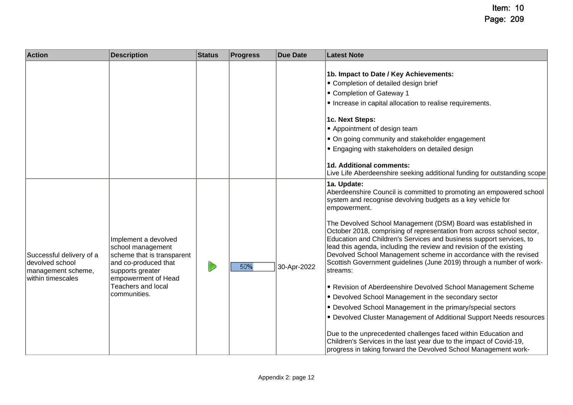| <b>Action</b>                                                                          | <b>Description</b>                                                                                                                                                               | <b>Status</b> | <b>Progress</b> | <b>Due Date</b> | <b>Latest Note</b>                                                                                                                                                                                                                                                                                                                                                                                                                                                                                                                                                                                                                                                                                                                                                                                                                                                                                                                                                                                                                                                                           |
|----------------------------------------------------------------------------------------|----------------------------------------------------------------------------------------------------------------------------------------------------------------------------------|---------------|-----------------|-----------------|----------------------------------------------------------------------------------------------------------------------------------------------------------------------------------------------------------------------------------------------------------------------------------------------------------------------------------------------------------------------------------------------------------------------------------------------------------------------------------------------------------------------------------------------------------------------------------------------------------------------------------------------------------------------------------------------------------------------------------------------------------------------------------------------------------------------------------------------------------------------------------------------------------------------------------------------------------------------------------------------------------------------------------------------------------------------------------------------|
|                                                                                        |                                                                                                                                                                                  |               |                 |                 | 1b. Impact to Date / Key Achievements:<br>• Completion of detailed design brief<br>• Completion of Gateway 1<br>• Increase in capital allocation to realise requirements.<br>1c. Next Steps:<br>• Appointment of design team<br>• On going community and stakeholder engagement<br>• Engaging with stakeholders on detailed design<br>1d. Additional comments:<br>Live Life Aberdeenshire seeking additional funding for outstanding scope                                                                                                                                                                                                                                                                                                                                                                                                                                                                                                                                                                                                                                                   |
| Successful delivery of a<br>devolved school<br>management scheme,<br>within timescales | Implement a devolved<br>school management<br>scheme that is transparent<br>and co-produced that<br>supports greater<br>empowerment of Head<br>Teachers and local<br>communities. |               | 50%             | 30-Apr-2022     | 1a. Update:<br>Aberdeenshire Council is committed to promoting an empowered school<br>system and recognise devolving budgets as a key vehicle for<br>empowerment.<br>The Devolved School Management (DSM) Board was established in<br>October 2018, comprising of representation from across school sector,<br>Education and Children's Services and business support services, to<br>lead this agenda, including the review and revision of the existing<br>Devolved School Management scheme in accordance with the revised<br>Scottish Government guidelines (June 2019) through a number of work-<br>streams:<br>• Revision of Aberdeenshire Devolved School Management Scheme<br>• Devolved School Management in the secondary sector<br>• Devolved School Management in the primary/special sectors<br>• Devolved Cluster Management of Additional Support Needs resources<br>Due to the unprecedented challenges faced within Education and<br>Children's Services in the last year due to the impact of Covid-19,<br>progress in taking forward the Devolved School Management work- |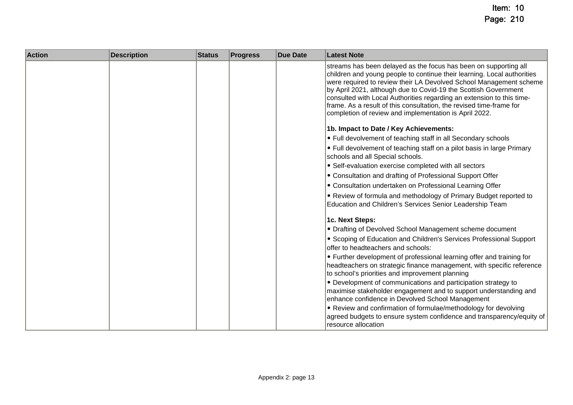| <b>Action</b> | <b>Description</b> | <b>Status</b> | <b>Progress</b> | <b>Due Date</b> | <b>Latest Note</b>                                                                                                                                                                                                                                                                                                                                                                                                                                                                             |
|---------------|--------------------|---------------|-----------------|-----------------|------------------------------------------------------------------------------------------------------------------------------------------------------------------------------------------------------------------------------------------------------------------------------------------------------------------------------------------------------------------------------------------------------------------------------------------------------------------------------------------------|
|               |                    |               |                 |                 | streams has been delayed as the focus has been on supporting all<br>children and young people to continue their learning. Local authorities<br>were required to review their LA Devolved School Management scheme<br>by April 2021, although due to Covid-19 the Scottish Government<br>consulted with Local Authorities regarding an extension to this time-<br>frame. As a result of this consultation, the revised time-frame for<br>completion of review and implementation is April 2022. |
|               |                    |               |                 |                 | 1b. Impact to Date / Key Achievements:                                                                                                                                                                                                                                                                                                                                                                                                                                                         |
|               |                    |               |                 |                 | • Full devolvement of teaching staff in all Secondary schools                                                                                                                                                                                                                                                                                                                                                                                                                                  |
|               |                    |               |                 |                 | • Full devolvement of teaching staff on a pilot basis in large Primary<br>schools and all Special schools.                                                                                                                                                                                                                                                                                                                                                                                     |
|               |                    |               |                 |                 | • Self-evaluation exercise completed with all sectors                                                                                                                                                                                                                                                                                                                                                                                                                                          |
|               |                    |               |                 |                 | • Consultation and drafting of Professional Support Offer                                                                                                                                                                                                                                                                                                                                                                                                                                      |
|               |                    |               |                 |                 | • Consultation undertaken on Professional Learning Offer                                                                                                                                                                                                                                                                                                                                                                                                                                       |
|               |                    |               |                 |                 | • Review of formula and methodology of Primary Budget reported to<br>Education and Children's Services Senior Leadership Team                                                                                                                                                                                                                                                                                                                                                                  |
|               |                    |               |                 |                 | 1c. Next Steps:                                                                                                                                                                                                                                                                                                                                                                                                                                                                                |
|               |                    |               |                 |                 | • Drafting of Devolved School Management scheme document                                                                                                                                                                                                                                                                                                                                                                                                                                       |
|               |                    |               |                 |                 | • Scoping of Education and Children's Services Professional Support<br>offer to headteachers and schools:                                                                                                                                                                                                                                                                                                                                                                                      |
|               |                    |               |                 |                 | • Further development of professional learning offer and training for                                                                                                                                                                                                                                                                                                                                                                                                                          |
|               |                    |               |                 |                 | headteachers on strategic finance management, with specific reference<br>to school's priorities and improvement planning                                                                                                                                                                                                                                                                                                                                                                       |
|               |                    |               |                 |                 | • Development of communications and participation strategy to<br>maximise stakeholder engagement and to support understanding and<br>enhance confidence in Devolved School Management                                                                                                                                                                                                                                                                                                          |
|               |                    |               |                 |                 | . Review and confirmation of formulae/methodology for devolving                                                                                                                                                                                                                                                                                                                                                                                                                                |
|               |                    |               |                 |                 | agreed budgets to ensure system confidence and transparency/equity of<br>resource allocation                                                                                                                                                                                                                                                                                                                                                                                                   |